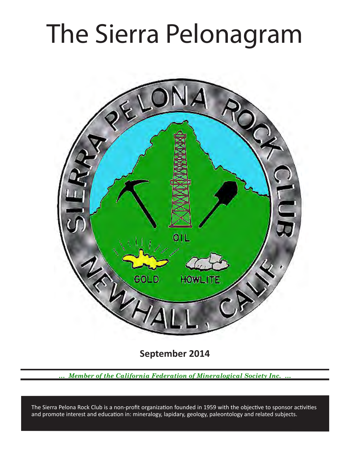# The Sierra Pelonagram



September 2014

Member of the California Federation of Mineralogical Society Inc.

The Sierra Pelona Rock Club is a non-profit organization founded in 1959 with the objective to sponsor activities and promote interest and education in: mineralogy, lapidary, geology, paleontology and related subjects.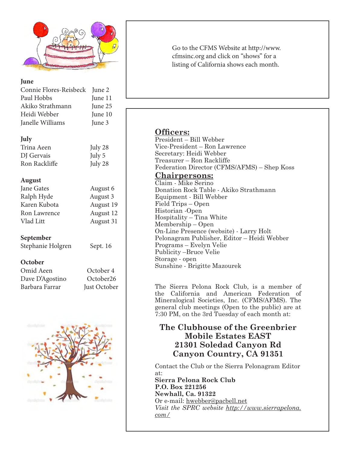

#### **June**

| Connie Flores-Reisbeck June 2 |         |
|-------------------------------|---------|
| Paul Hobbs                    | June 11 |
| Akiko Strathmann              | June 25 |
| Heidi Webber                  | June 10 |
| Janelle Williams              | June 3  |

## **July**

| Trina Aeen    | July 28  |
|---------------|----------|
| DJ Gervais    | July $5$ |
| Ron Rackliffe | July 28  |

## **August**

| Jane Gates   | August 6  |
|--------------|-----------|
| Ralph Hyde   | August 3  |
| Karen Kubota | August 19 |
| Ron Lawrence | August 12 |
| Vlad Litt    | August 31 |
|              |           |

# **September**

Stephanie Holgren Sept. 16

#### **October**

| Omid Aeen       | October 4    |
|-----------------|--------------|
| Dave D'Agostino | October26    |
| Barbara Farrar  | Just October |



Go to the CFMS Website at http://www. cfmsinc.org and click on "shows" for a listing of California shows each month.

# **Officers:**

President – Bill Webber Vice-President – Ron Lawrence Secretary: Heidi Webber Treasurer – Ron Rackliffe Federation Director (CFMS/AFMS) – Shep Koss

# **Chairpersons:**

Claim - Mike Serino Donation Rock Table - Akiko Strathmann Equipment - Bill Webber Field Trips – Open Historian -Open Hospitality – Tina White Membership – Open On-Line Presence (website) - Larry Holt Pelonagram Publisher, Editor – Heidi Webber Programs – Evelyn Velie Publicity –Bruce Velie Storage - open Sunshine - Brigitte Mazourek

The Sierra Pelona Rock Club, is a member of the California and American Federation of Mineralogical Societies, Inc. (CFMS/AFMS). The general club meetings (Open to the public) are at 7:30 PM, on the 3rd Tuesday of each month at:

# **The Clubhouse of the Greenbrier Mobile Estates EAST** 21301 Soledad Canyon Rd Canyon Country, CA 91351

Contact the Club or the Sierra Pelonagram Editor at:

**Sierra Pelona Rock Club P.O.** Box 221256 **Newhall, Ca. 91322** Or e-mail: hwebber@pacbell.net *Visit the SPRC website http://www.sierrapelona. com/*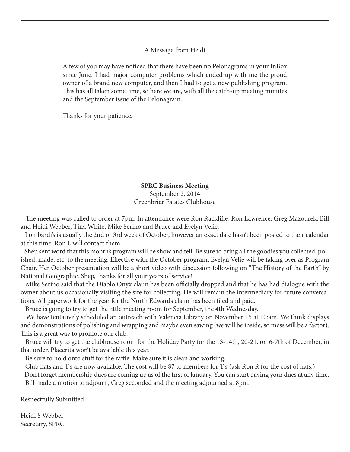#### A Message from Heidi

A few of you may have noticed that there have been no Pelonagrams in your InBox since June. I had major computer problems which ended up with me the proud owner of a brand new computer, and then I had to get a new publishing program. This has all taken some time, so here we are, with all the catch-up meeting minutes and the September issue of the Pelonagram.

Thanks for your patience.

#### **SPRC Business Meeting**

September 2, 2014 Greenbriar Estates Clubhouse

The meeting was called to order at 7pm. In attendance were Ron Rackliffe, Ron Lawrence, Greg Mazourek, Bill and Heidi Webber, Tina White, Mike Serino and Bruce and Evelyn Velie.

 Lombardi's is usually the 2nd or 3rd week of October, however an exact date hasn't been posted to their calendar at this time. Ron L will contact them.

 Shep sent word that this month's program will be show and tell. Be sure to bring all the goodies you collected, polished, made, etc. to the meeting. Efective with the October program, Evelyn Velie will be taking over as Program Chair. Her October presentation will be a short video with discussion following on "The History of the Earth" by National Geographic. Shep, thanks for all your years of service!

Mike Serino said that the Diablo Onyx claim has been officially dropped and that he has had dialogue with the owner about us occasionally visiting the site for collecting. He will remain the intermediary for future conversations. All paperwork for the year for the North Edwards claim has been fled and paid.

Bruce is going to try to get the little meeting room for September, the 4th Wednesday.

 We have tentatively scheduled an outreach with Valencia Library on November 15 at 10:am. We think displays and demonstrations of polishing and wrapping and maybe even sawing (we will be inside, so mess will be a factor). This is a great way to promote our club.

 Bruce will try to get the clubhouse room for the Holiday Party for the 13-14th, 20-21, or 6-7th of December, in that order. Placerita won't be available this year.

Be sure to hold onto stuff for the raffle. Make sure it is clean and working.

Club hats and T's are now available. The cost will be \$7 to members for T's (ask Ron R for the cost of hats.)

 Don't forget membership dues are coming up as of the frst of January. You can start paying your dues at any time. Bill made a motion to adjourn, Greg seconded and the meeting adjourned at 8pm.

Respectfully Submitted

Heidi S Webber Secretary, SPRC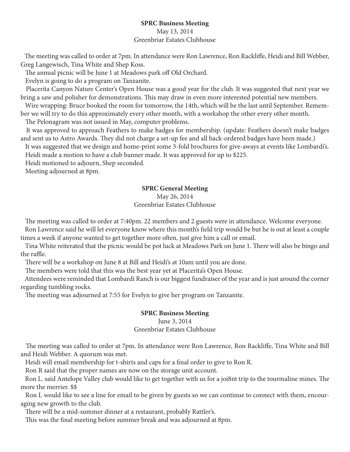# **SPRC Business Meeting**

#### May 13, 2014 Greenbriar Estates Clubhouse

The meeting was called to order at 7pm. In attendance were Ron Lawrence, Ron Rackliffe, Heidi and Bill Webber, Greg Langewisch, Tina White and Shep Koss.

The annual picnic will be June 1 at Meadows park off Old Orchard.

Evelyn is going to do a program on Tanzanite.

 Placerita Canyon Nature Center's Open House was a good year for the club. It was suggested that next year we bring a saw and polisher for demonstrations. This may draw in even more interested potential new members.

 Wire wrapping: Bruce booked the room for tomorrow, the 14th, which will be the last until September. Remember we will try to do this approximately every other month, with a workshop the other every other month.

The Pelonagram was not issued in May, computer problems.

 It was approved to approach Feathers to make badges for membership. (update: Feathers doesn't make badges and sent us to Astro Awards. They did not charge a set-up fee and all back-ordered badges have been made.)

 It was suggested that we design and home-print some 3-fold brochures for give-aways at events like Lombardi's. Heidi made a motion to have a club banner made. It was approved for up to \$225.

Heidi motioned to adjourn, Shep seconded.

Meeting adjourned at 8pm.

# **SPRC General Meeting**

#### May 26, 2014 Greenbriar Estates Clubhouse

The meeting was called to order at 7:40pm. 22 members and 2 guests were in attendance. Welcome everyone. Ron Lawrence said he will let everyone know where this month's feld trip would be but he is out at least a couple times a week if anyone wanted to get together more often, just give him a call or email.

Tina White reiterated that the picnic would be pot luck at Meadows Park on June 1. There will also be bingo and the raffle.

There will be a workshop on June 8 at Bill and Heidi's at 10am until you are done.

The members were told that this was the best year yet at Placerita's Open House.

 Attendees were reminded that Lombardi Ranch is our biggest fundraiser of the year and is just around the corner regarding tumbling rocks.

The meeting was adjourned at 7:55 for Evelyn to give her program on Tanzanite.

# **SPRC Business Meeting**

# June 3, 2014 Greenbriar Estates Clubhouse

The meeting was called to order at 7pm. In attendance were Ron Lawrence, Ron Rackliffe, Tina White and Bill and Heidi Webber. A quorum was met.

Heidi will email membership for t-shirts and caps for a fnal order to give to Ron R.

Ron R said that the proper names are now on the storage unit account.

Ron L. said Antelope Valley club would like to get together with us for a joi8nt trip to the tourmaline mines. The more the merrier. \$\$

 Ron L would like to see a line for email to be given by guests so we can continue to connect with them, encouraging new growth to the club.

There will be a mid-summer dinner at a restaurant, probably Rattler's.

This was the final meeting before summer break and was adjourned at 8pm.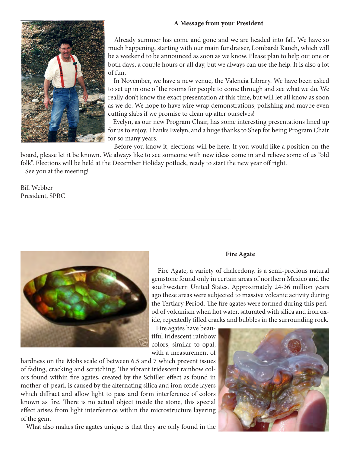## **A Message from your President**



 Already summer has come and gone and we are headed into fall. We have so much happening, starting with our main fundraiser, Lombardi Ranch, which will be a weekend to be announced as soon as we know. Please plan to help out one or both days, a couple hours or all day, but we always can use the help. It is also a lot of fun.

 In November, we have a new venue, the Valencia Library. We have been asked to set up in one of the rooms for people to come through and see what we do. We really don't know the exact presentation at this time, but will let all know as soon as we do. We hope to have wire wrap demonstrations, polishing and maybe even cutting slabs if we promise to clean up after ourselves!

 Evelyn, as our new Program Chair, has some interesting presentations lined up for us to enjoy. Thanks Evelyn, and a huge thanks to Shep for being Program Chair for so many years.

 Before you know it, elections will be here. If you would like a position on the board, please let it be known. We always like to see someone with new ideas come in and relieve some of us "old folk". Elections will be held at the December Holiday potluck, ready to start the new year off right.

See you at the meeting!

Bill Webber President, SPRC



#### **Fire Agate**

 Fire Agate, a variety of chalcedony, is a semi-precious natural gemstone found only in certain areas of northern Mexico and the southwestern United States. Approximately 24-36 million years ago these areas were subjected to massive volcanic activity during the Tertiary Period. The fire agates were formed during this period of volcanism when hot water, saturated with silica and iron oxide, repeatedly flled cracks and bubbles in the surrounding rock.

 Fire agates have beautiful iridescent rainbow colors, similar to opal, with a measurement of

hardness on the Mohs scale of between 6.5 and 7 which prevent issues of fading, cracking and scratching. The vibrant iridescent rainbow colors found within fre agates, created by the Schiller efect as found in mother-of-pearl, is caused by the alternating silica and iron oxide layers which difract and allow light to pass and form interference of colors known as fire. There is no actual object inside the stone, this special efect arises from light interference within the microstructure layering of the gem.

What also makes fre agates unique is that they are only found in the